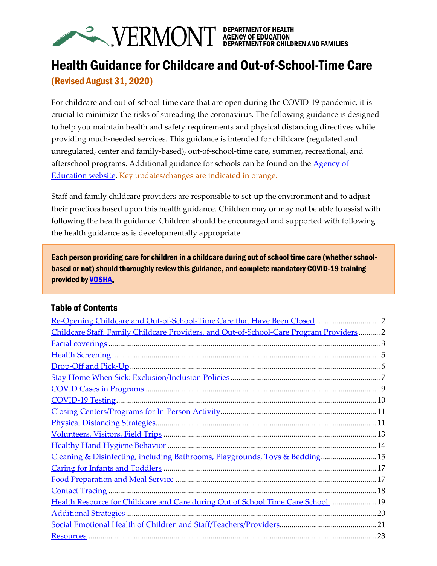

# Health Guidance for Childcare and Out-of-School-Time Care (Revised August 31, 2020)

For childcare and out-of-school-time care that are open during the COVID-19 pandemic, it is crucial to minimize the risks of spreading the coronavirus. The following guidance is designed to help you maintain health and safety requirements and physical distancing directives while providing much-needed services. This guidance is intended for childcare (regulated and unregulated, center and family-based), out-of-school-time care, summer, recreational, and afterschool programs. Additional guidance for schools can be found on the [Agency of](https://education.vermont.gov/documents/guidance-strong-healthy-start-health-guidance)  [Education website.](https://education.vermont.gov/documents/guidance-strong-healthy-start-health-guidance) Key updates/changes are indicated in orange.

Staff and family childcare providers are responsible to set-up the environment and to adjust their practices based upon this health guidance. Children may or may not be able to assist with following the health guidance. Children should be encouraged and supported with following the health guidance as is developmentally appropriate.

Each person providing care for children in a childcare during out of school time care (whether schoolbased or not) should thoroughly review this guidance, and complete mandatory COVID-19 training provided b[y VOSHA.](https://labor.vermont.gov/VOSHA)

## Table of Contents

| Childcare Staff, Family Childcare Providers, and Out-of-School-Care Program Providers 2 |  |
|-----------------------------------------------------------------------------------------|--|
|                                                                                         |  |
|                                                                                         |  |
|                                                                                         |  |
|                                                                                         |  |
|                                                                                         |  |
|                                                                                         |  |
|                                                                                         |  |
|                                                                                         |  |
|                                                                                         |  |
|                                                                                         |  |
| Cleaning & Disinfecting, including Bathrooms, Playgrounds, Toys & Bedding 15            |  |
|                                                                                         |  |
|                                                                                         |  |
|                                                                                         |  |
| Health Resource for Childcare and Care during Out of School Time Care School  19        |  |
|                                                                                         |  |
|                                                                                         |  |
|                                                                                         |  |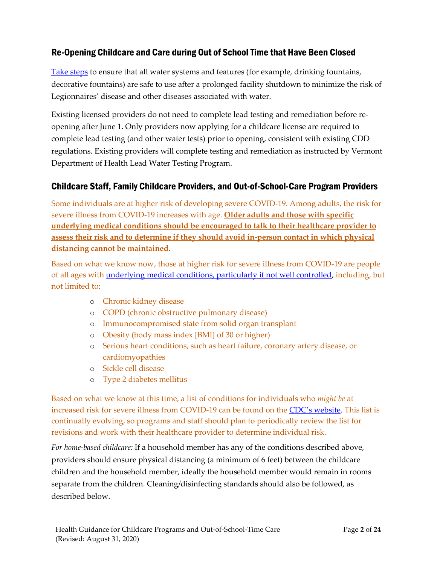# <span id="page-1-0"></span>Re-Opening Childcare and Care during Out of School Time that Have Been Closed

[Take steps](https://www.cdc.gov/coronavirus/2019-ncov/php/building-water-system.html) to ensure that all water systems and features (for example, drinking fountains, decorative fountains) are safe to use after a prolonged facility shutdown to minimize the risk of Legionnaires' disease and other diseases associated with water.

Existing licensed providers do not need to complete lead testing and remediation before reopening after June 1. Only providers now applying for a childcare license are required to complete lead testing (and other water tests) prior to opening, consistent with existing CDD regulations. Existing providers will complete testing and remediation as instructed by Vermont Department of Health Lead Water Testing Program.

## <span id="page-1-1"></span>Childcare Staff, Family Childcare Providers, and Out-of-School-Care Program Providers

Some individuals are at higher risk of developing severe COVID-19. Among adults, the risk for severe illness from COVID-19 increases with age. **Older adults and those with specific underlying medical conditions should be encouraged to talk to their healthcare provider to assess their risk and to determine if they should avoid in-person contact in which physical distancing cannot be maintained.**

Based on what we know now, those at higher risk for severe illness from COVID-19 are people of all ages with [underlying medical conditions, particularly if not well controlled,](https://www.cdc.gov/coronavirus/2019-ncov/need-extra-precautions/groups-at-higher-risk.html) including, but not limited to:

- o Chronic kidney disease
- o COPD (chronic obstructive pulmonary disease)
- o Immunocompromised state from solid organ transplant
- o Obesity (body mass index [BMI] of 30 or higher)
- o Serious heart conditions, such as heart failure, coronary artery disease, or cardiomyopathies
- o Sickle cell disease
- o Type 2 diabetes mellitus

Based on what we know at this time, a list of conditions for individuals who *might be* at increased risk for severe illness from COVID-19 can be found on the [CDC's website](https://www.cdc.gov/coronavirus/2019-ncov/need-extra-precautions/people-with-medical-conditions.html?CDC_AA_refVal=https%3A%2F%2Fwww.cdc.gov%2Fcoronavirus%2F2019-ncov%2Fneed-extra-precautions%2Fgroups-at-higher-risk.html). This list is continually evolving, so programs and staff should plan to periodically review the list for revisions and work with their healthcare provider to determine individual risk.

*For home-based childcare:* If a household member has any of the conditions described above, providers should ensure physical distancing (a minimum of 6 feet) between the childcare children and the household member, ideally the household member would remain in rooms separate from the children. Cleaning/disinfecting standards should also be followed, as described below.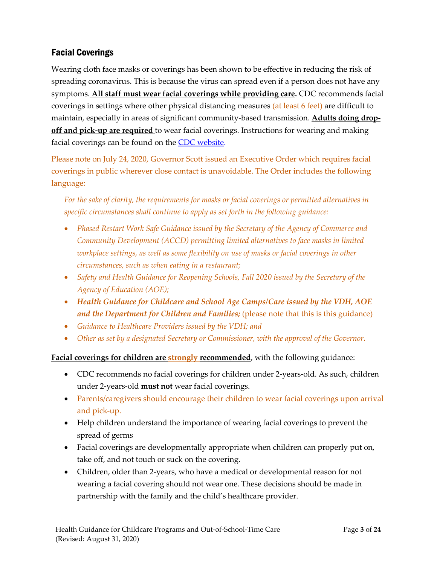# <span id="page-2-0"></span>Facial Coverings

Wearing cloth face masks or coverings has been shown to be effective in reducing the risk of spreading coronavirus. This is because the virus can spread even if a person does not have any symptoms. **All staff must wear facial coverings while providing care.** CDC recommends facial coverings in settings where other physical distancing measures (at least 6 feet) are difficult to maintain, especially in areas of significant community-based transmission. **Adults doing dropoff and pick-up are required** to wear facial coverings. Instructions for wearing and making facial coverings can be found on the CDC [website.](https://www.cdc.gov/coronavirus/2019-ncov/prevent-getting-sick/diy-cloth-face-coverings.html)

Please note on July 24, 2020, Governor Scott issued an Executive Order which requires facial coverings in public wherever close contact is unavoidable. The Order includes the following language:

*For the sake of clarity, the requirements for masks or facial coverings or permitted alternatives in specific circumstances shall continue to apply as set forth in the following guidance:*

- *Phased Restart Work Safe Guidance issued by the Secretary of the Agency of Commerce and Community Development (ACCD) permitting limited alternatives to face masks in limited workplace settings, as well as some flexibility on use of masks or facial coverings in other circumstances, such as when eating in a restaurant;*
- *Safety and Health Guidance for Reopening Schools, Fall 2020 issued by the Secretary of the Agency of Education (AOE);*
- *Health Guidance for Childcare and School Age Camps/Care issued by the VDH, AOE and the Department for Children and Families;* (please note that this is this guidance)
- *Guidance to Healthcare Providers issued by the VDH; and*
- *Other as set by a designated Secretary or Commissioner, with the approval of the Governor.*

**Facial coverings for children are strongly recommended**, with the following guidance:

- CDC recommends no facial coverings for children under 2-years-old. As such, children under 2-years-old **must not** wear facial coverings.
- Parents/caregivers should encourage their children to wear facial coverings upon arrival and pick-up.
- Help children understand the importance of wearing facial coverings to prevent the spread of germs
- Facial coverings are developmentally appropriate when children can properly put on, take off, and not touch or suck on the covering.
- Children, older than 2-years, who have a medical or developmental reason for not wearing a facial covering should not wear one. These decisions should be made in partnership with the family and the child's healthcare provider.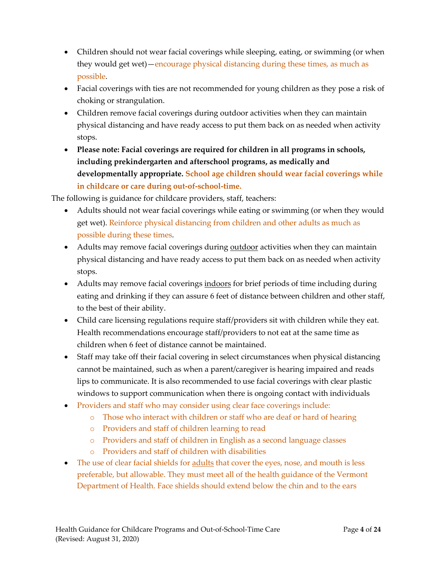- Children should not wear facial coverings while sleeping, eating, or swimming (or when they would get wet)—encourage physical distancing during these times, as much as possible.
- Facial coverings with ties are not recommended for young children as they pose a risk of choking or strangulation.
- Children remove facial coverings during outdoor activities when they can maintain physical distancing and have ready access to put them back on as needed when activity stops.
- **Please note: Facial coverings are required for children in all programs in schools, including prekindergarten and afterschool programs, as medically and developmentally appropriate. School age children should wear facial coverings while in childcare or care during out-of-school-time.**

The following is guidance for childcare providers, staff, teachers:

- Adults should not wear facial coverings while eating or swimming (or when they would get wet). Reinforce physical distancing from children and other adults as much as possible during these times.
- Adults may remove facial coverings during outdoor activities when they can maintain physical distancing and have ready access to put them back on as needed when activity stops.
- Adults may remove facial coverings indoors for brief periods of time including during eating and drinking if they can assure 6 feet of distance between children and other staff, to the best of their ability.
- Child care licensing regulations require staff/providers sit with children while they eat. Health recommendations encourage staff/providers to not eat at the same time as children when 6 feet of distance cannot be maintained.
- Staff may take off their facial covering in select circumstances when physical distancing cannot be maintained, such as when a parent/caregiver is hearing impaired and reads lips to communicate. It is also recommended to use facial coverings with clear plastic windows to support communication when there is ongoing contact with individuals
- Providers and staff who may consider using clear face coverings include:
	- o Those who interact with children or staff who are deaf or hard of hearing
	- o Providers and staff of children learning to read
	- o Providers and staff of children in English as a second language classes
	- o Providers and staff of children with disabilities
- The use of clear facial shields for **adults** that cover the eyes, nose, and mouth is less preferable, but allowable. They must meet all of the health guidance of the Vermont Department of Health. Face shields should extend below the chin and to the ears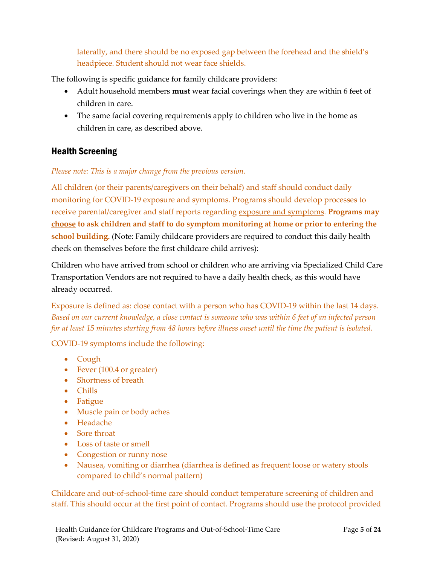laterally, and there should be no exposed gap between the forehead and the shield's headpiece. Student should not wear face shields.

The following is specific guidance for family childcare providers:

- Adult household members **must** wear facial coverings when they are within 6 feet of children in care.
- The same facial covering requirements apply to children who live in the home as children in care, as described above.

## <span id="page-4-0"></span>Health Screening

*Please note: This is a major change from the previous version.*

All children (or their parents/caregivers on their behalf) and staff should conduct daily monitoring for COVID-19 exposure and symptoms. Programs should develop processes to receive parental/caregiver and staff reports regarding exposure and symptoms. **Programs may choose to ask children and staff to do symptom monitoring at home or prior to entering the school building.** (Note: Family childcare providers are required to conduct this daily health check on themselves before the first childcare child arrives):

Children who have arrived from school or children who are arriving via Specialized Child Care Transportation Vendors are not required to have a daily health check, as this would have already occurred.

Exposure is defined as: close contact with a person who has COVID-19 within the last 14 days. *Based on our current knowledge, a close contact is someone who was within 6 feet of an infected person for at least 15 minutes starting from 48 hours before illness onset until the time the patient is isolated.*

<span id="page-4-1"></span>COVID-19 symptoms include the following:

- Cough
- Fever (100.4 or greater)
- Shortness of breath
- Chills
- Fatigue
- Muscle pain or body aches
- Headache
- Sore throat
- Loss of taste or smell
- Congestion or runny nose
- Nausea, vomiting or diarrhea (diarrhea is defined as frequent loose or watery stools compared to child's normal pattern)

Childcare and out-of-school-time care should conduct temperature screening of children and staff. This should occur at the first point of contact. Programs should use the protocol provided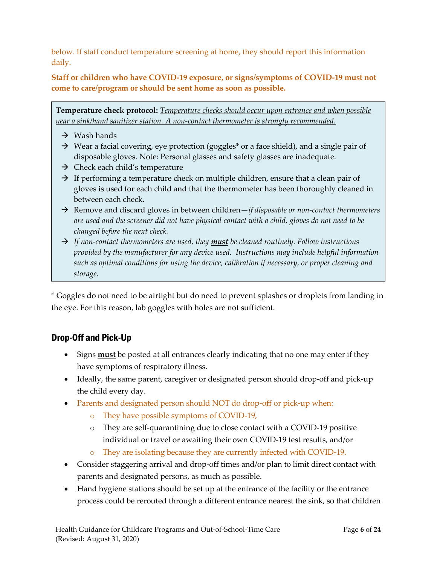below. If staff conduct temperature screening at home, they should report this information daily.

**Staff or children who have COVID-19 exposure, or signs/symptoms of COVID-19 must not come to care/program or should be sent home as soon as possible.** 

**Temperature check protocol:** *Temperature checks should occur upon entrance and when possible near a sink/hand sanitizer station. A non-contact thermometer is strongly recommended.*

- $\rightarrow$  Wash hands
- $\rightarrow$  Wear a facial covering, eye protection (goggles\* or a face shield), and a single pair of disposable gloves. Note: Personal glasses and safety glasses are inadequate.
- $\rightarrow$  Check each child's temperature
- $\rightarrow$  If performing a temperature check on multiple children, ensure that a clean pair of gloves is used for each child and that the thermometer has been thoroughly cleaned in between each check.
- → Remove and discard gloves in between children—*if disposable or non-contact thermometers are used and the screener did not have physical contact with a child, gloves do not need to be changed before the next check.*
- → *If non-contact thermometers are used, they must be cleaned routinely. Follow instructions provided by the manufacturer for any device used. Instructions may include helpful information such as optimal conditions for using the device, calibration if necessary, or proper cleaning and storage.*

\* Goggles do not need to be airtight but do need to prevent splashes or droplets from landing in the eye. For this reason, lab goggles with holes are not sufficient.

## <span id="page-5-0"></span>Drop-Off and Pick-Up

- Signs **must** be posted at all entrances clearly indicating that no one may enter if they have symptoms of respiratory illness.
- Ideally, the same parent, caregiver or designated person should drop-off and pick-up the child every day.
- Parents and designated person should NOT do drop-off or pick-up when:
	- o They have possible symptoms of COVID-19,
	- o They are self-quarantining due to close contact with a COVID-19 positive individual or travel or awaiting their own COVID-19 test results, and/or
	- o They are isolating because they are currently infected with COVID-19.
- Consider staggering arrival and drop-off times and/or plan to limit direct contact with parents and designated persons, as much as possible.
- Hand hygiene stations should be set up at the entrance of the facility or the entrance process could be rerouted through a different entrance nearest the sink, so that children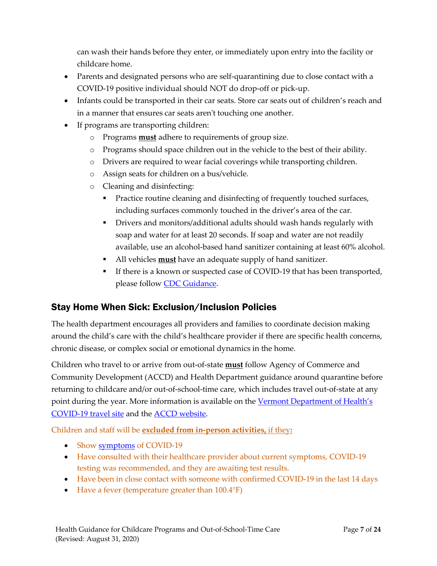can wash their hands before they enter, or immediately upon entry into the facility or childcare home.

- Parents and designated persons who are self-quarantining due to close contact with a COVID-19 positive individual should NOT do drop-off or pick-up.
- Infants could be transported in their car seats. Store car seats out of children's reach and in a manner that ensures car seats aren't touching one another.
- If programs are transporting children:
	- o Programs **must** adhere to requirements of group size.
	- o Programs should space children out in the vehicle to the best of their ability.
	- o Drivers are required to wear facial coverings while transporting children.
	- o Assign seats for children on a bus/vehicle.
	- o Cleaning and disinfecting:
		- Practice routine cleaning and disinfecting of frequently touched surfaces, including surfaces commonly touched in the driver's area of the car.
		- **•** Drivers and monitors/additional adults should wash hands regularly with soap and water for at least 20 seconds. If soap and water are not readily available, use an alcohol-based hand sanitizer containing at least 60% alcohol.
		- All vehicles **must** have an adequate supply of hand sanitizer.
		- If there is a known or suspected case of COVID-19 that has been transported, please follow [CDC Guidance.](https://www.cdc.gov/coronavirus/2019-ncov/community/organizations/bus-transit-operator.html)

## <span id="page-6-0"></span>Stay Home When Sick: Exclusion/Inclusion Policies

The health department encourages all providers and families to coordinate decision making around the child's care with the child's healthcare provider if there are specific health concerns, chronic disease, or complex social or emotional dynamics in the home.

Children who travel to or arrive from out-of-state **must** follow Agency of Commerce and Community Development (ACCD) and Health Department guidance around quarantine before returning to childcare and/or out-of-school-time care, which includes travel out-of-state at any point during the year. More information is available on the Vermont Department of Health's [COVID-19 travel site](https://www.healthvermont.gov/response/coronavirus-covid-19/traveling-vermont) and th[e ACCD website.](https://accd.vermont.gov/covid-19/restart/cross-state-travel)

Children and staff will be **excluded from in-person activities,** if they**:**

- Show [symptoms](#page-4-1) of COVID-19
- Have consulted with their healthcare provider about current symptoms, COVID-19 testing was recommended, and they are awaiting test results.
- Have been in close contact with someone with confirmed COVID-19 in the last 14 days
- Have a fever (temperature greater than  $100.4^{\circ}F$ )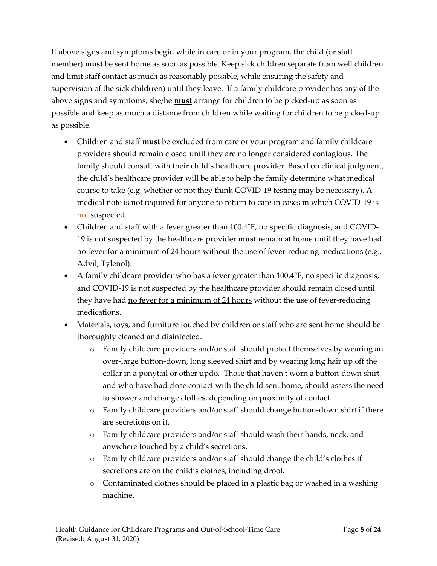If above signs and symptoms begin while in care or in your program, the child (or staff member) **must** be sent home as soon as possible. Keep sick children separate from well children and limit staff contact as much as reasonably possible, while ensuring the safety and supervision of the sick child(ren) until they leave. If a family childcare provider has any of the above signs and symptoms, she/he **must** arrange for children to be picked-up as soon as possible and keep as much a distance from children while waiting for children to be picked-up as possible.

- Children and staff **must** be excluded from care or your program and family childcare providers should remain closed until they are no longer considered contagious. The family should consult with their child's healthcare provider. Based on clinical judgment, the child's healthcare provider will be able to help the family determine what medical course to take (e.g. whether or not they think COVID-19 testing may be necessary). A medical note is not required for anyone to return to care in cases in which COVID-19 is not suspected.
- Children and staff with a fever greater than 100.4°F, no specific diagnosis, and COVID-19 is not suspected by the healthcare provider **must** remain at home until they have had no fever for a minimum of 24 hours without the use of fever-reducing medications (e.g., Advil, Tylenol).
- A family childcare provider who has a fever greater than 100.4°F, no specific diagnosis, and COVID-19 is not suspected by the healthcare provider should remain closed until they have had <u>no fever for a minimum of 24 hours</u> without the use of fever-reducing medications.
- Materials, toys, and furniture touched by children or staff who are sent home should be thoroughly cleaned and disinfected.
	- o Family childcare providers and/or staff should protect themselves by wearing an over-large button-down, long sleeved shirt and by wearing long hair up off the collar in a ponytail or other updo. Those that haven't worn a button-down shirt and who have had close contact with the child sent home, should assess the need to shower and change clothes, depending on proximity of contact.
	- o Family childcare providers and/or staff should change button-down shirt if there are secretions on it.
	- o Family childcare providers and/or staff should wash their hands, neck, and anywhere touched by a child's secretions.
	- o Family childcare providers and/or staff should change the child's clothes if secretions are on the child's clothes, including drool.
	- o Contaminated clothes should be placed in a plastic bag or washed in a washing machine.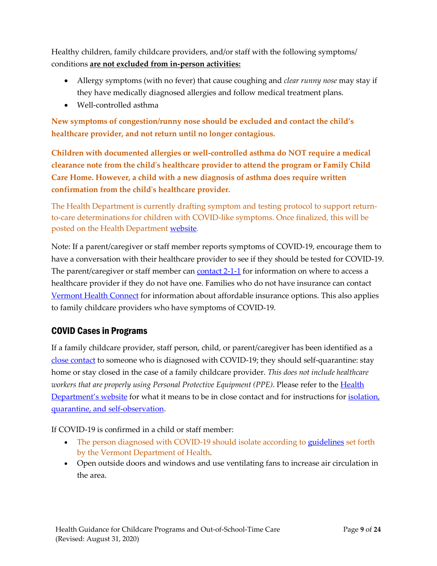Healthy children, family childcare providers, and/or staff with the following symptoms/ conditions **are not excluded from in-person activities:**

- Allergy symptoms (with no fever) that cause coughing and *clear runny nose* may stay if they have medically diagnosed allergies and follow medical treatment plans.
- Well-controlled asthma

**New symptoms of congestion/runny nose should be excluded and contact the child's healthcare provider, and not return until no longer contagious.** 

**Children with documented allergies or well-controlled asthma do NOT require a medical clearance note from the child's healthcare provider to attend the program or Family Child Care Home. However, a child with a new diagnosis of asthma does require written confirmation from the child's healthcare provider.**

The Health Department is currently drafting symptom and testing protocol to support returnto-care determinations for children with COVID-like symptoms. Once finalized, this will be posted on the Health Department [website.](https://www.healthvermont.gov/response/coronavirus-covid-19/schools-and-child-care-programs)

Note: If a parent/caregiver or staff member reports symptoms of COVID-19, encourage them to have a conversation with their healthcare provider to see if they should be tested for COVID-19. The parent/caregiver or staff member can [contact 2-1-1](http://www.vermont211.org/contact-211-topmenu-48) for information on where to access a healthcare provider if they do not have one. Families who do not have insurance can contact [Vermont Health Connect](https://portal.healthconnect.vermont.gov/VTHBELand/welcome.action) for information about affordable insurance options. This also applies to family childcare providers who have symptoms of COVID-19.

## <span id="page-8-0"></span>COVID Cases in Programs

If a family childcare provider, staff person, child, or parent/caregiver has been identified as a [close contact](https://www.healthvermont.gov/sites/default/files/documents/pdf/COVID-19_What-to-do-if-you-are-a-close-contact-of-someone-with-COVID-19_final.pdf) to someone who is diagnosed with COVID-19; they should self-quarantine: stay home or stay closed in the case of a family childcare provider. *This does not include healthcare workers that are properly using Personal Protective Equipment (PPE). Please refer to the Health* [Department's website](https://www.healthvermont.gov/response/coronavirus-covid-19/about-coronavirus-disease-covid-19) for what it means to be in close contact and for instructions for isolation, [quarantine, and self-observation.](https://www.healthvermont.gov/sites/default/files/documents/pdf/COVID-19-chart-observation-isolation-quarantine_final.pdf)

If COVID-19 is confirmed in a child or staff member:

- The person diagnosed with COVID-19 should isolate according to [guidelines](https://www.healthvermont.gov/sites/default/files/documents/pdf/COVID-19-chart-observation-isolation-quarantine_final.pdf) set forth by the Vermont Department of Health.
- Open outside doors and windows and use ventilating fans to increase air circulation in the area.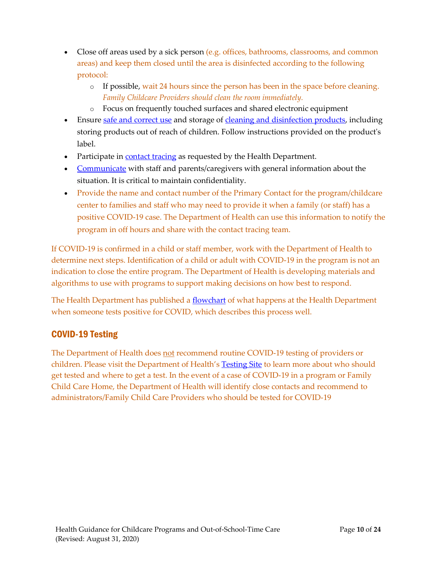- Close off areas used by a sick person (e.g. offices, bathrooms, classrooms, and common areas) and keep them closed until the area is disinfected according to the following protocol:
	- $\circ$  If possible, wait 24 hours since the person has been in the space before cleaning. *Family Childcare Providers should clean the room immediately.*
	- o Focus on frequently touched surfaces and shared electronic equipment
- Ensure [safe and correct use](https://www.cdc.gov/coronavirus/2019-ncov/community/disinfecting-building-facility.html) and storage of [cleaning and disinfection products,](https://www.epa.gov/pesticide-registration/list-n-disinfectants-use-against-sars-cov-2) including storing products out of reach of children. Follow instructions provided on the product's label.
- Participate in [contact tracing](#page-17-0) as requested by the Health Department.
- [Communicate](#page-18-1) with staff and parents/caregivers with general information about the situation. It is critical to maintain confidentiality.
- Provide the name and contact number of the Primary Contact for the program/childcare center to families and staff who may need to provide it when a family (or staff) has a positive COVID-19 case. The Department of Health can use this information to notify the program in off hours and share with the contact tracing team.

If COVID-19 is confirmed in a child or staff member, work with the Department of Health to determine next steps. Identification of a child or adult with COVID-19 in the program is not an indication to close the entire program. The Department of Health is developing materials and algorithms to use with programs to support making decisions on how best to respond.

The Health Department has published a [flowchart](https://www.healthvermont.gov/sites/default/files/documents/pdf/COVID-19-Flowchart-When-Someone-Tests-Positive.pdf) of what happens at the Health Department when someone tests positive for COVID, which describes this process well.

# <span id="page-9-0"></span>COVID-19 Testing

The Department of Health does not recommend routine COVID-19 testing of providers or children. Please visit the Department of Health's [Testing Site](https://www.healthvermont.gov/response/coronavirus-covid-19/testing-covid-19) to learn more about who should get tested and where to get a test. In the event of a case of COVID-19 in a program or Family Child Care Home, the Department of Health will identify close contacts and recommend to administrators/Family Child Care Providers who should be tested for COVID-19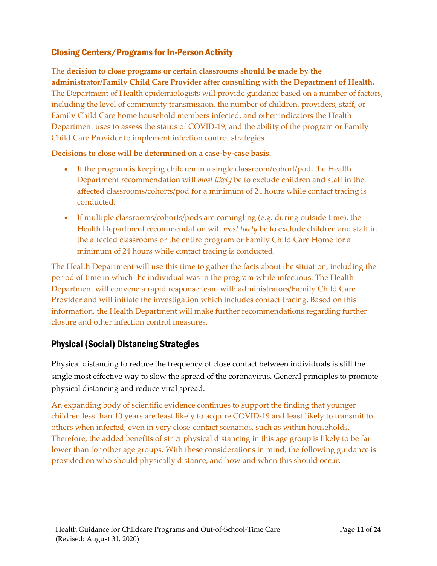# <span id="page-10-0"></span>Closing Centers/Programs for In-Person Activity

The **decision to close programs or certain classrooms should be made by the administrator/Family Child Care Provider after consulting with the Department of Health.**  The Department of Health epidemiologists will provide guidance based on a number of factors, including the level of community transmission, the number of children, providers, staff, or Family Child Care home household members infected, and other indicators the Health Department uses to assess the status of COVID-19, and the ability of the program or Family Child Care Provider to implement infection control strategies.

### **Decisions to close will be determined on a case-by-case basis.**

- If the program is keeping children in a single classroom/cohort/pod, the Health Department recommendation will *most likely* be to exclude children and staff in the affected classrooms/cohorts/pod for a minimum of 24 hours while contact tracing is conducted.
- If multiple classrooms/cohorts/pods are comingling (e.g. during outside time), the Health Department recommendation will *most likely* be to exclude children and staff in the affected classrooms or the entire program or Family Child Care Home for a minimum of 24 hours while contact tracing is conducted.

The Health Department will use this time to gather the facts about the situation, including the period of time in which the individual was in the program while infectious. The Health Department will convene a rapid response team with administrators/Family Child Care Provider and will initiate the investigation which includes contact tracing. Based on this information, the Health Department will make further recommendations regarding further closure and other infection control measures.

## <span id="page-10-1"></span>Physical (Social) Distancing Strategies

Physical distancing to reduce the frequency of close contact between individuals is still the single most effective way to slow the spread of the coronavirus. General principles to promote physical distancing and reduce viral spread.

An expanding body of scientific evidence continues to support the finding that younger children less than 10 years are least likely to acquire COVID-19 and least likely to transmit to others when infected, even in very close-contact scenarios, such as within households. Therefore, the added benefits of strict physical distancing in this age group is likely to be far lower than for other age groups. With these considerations in mind, the following guidance is provided on who should physically distance, and how and when this should occur.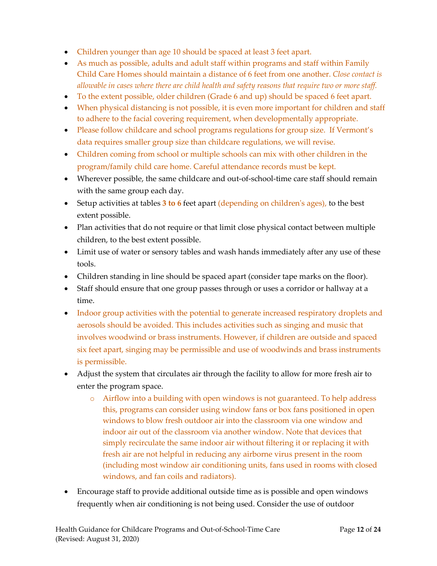- Children younger than age 10 should be spaced at least 3 feet apart.
- As much as possible, adults and adult staff within programs and staff within Family Child Care Homes should maintain a distance of 6 feet from one another. *Close contact is allowable in cases where there are child health and safety reasons that require two or more staff.*
- To the extent possible, older children (Grade 6 and up) should be spaced 6 feet apart.
- When physical distancing is not possible, it is even more important for children and staff to adhere to the facial covering requirement, when developmentally appropriate.
- Please follow childcare and school programs regulations for group size. If Vermont's data requires smaller group size than childcare regulations, we will revise.
- Children coming from school or multiple schools can mix with other children in the program/family child care home. Careful attendance records must be kept.
- Wherever possible, the same childcare and out-of-school-time care staff should remain with the same group each day.
- Setup activities at tables 3 to 6 feet apart (depending on children's ages), to the best extent possible.
- Plan activities that do not require or that limit close physical contact between multiple children, to the best extent possible.
- Limit use of water or sensory tables and wash hands immediately after any use of these tools.
- Children standing in line should be spaced apart (consider tape marks on the floor).
- Staff should ensure that one group passes through or uses a corridor or hallway at a time.
- Indoor group activities with the potential to generate increased respiratory droplets and aerosols should be avoided. This includes activities such as singing and music that involves woodwind or brass instruments. However, if children are outside and spaced six feet apart, singing may be permissible and use of woodwinds and brass instruments is permissible.
- Adjust the system that circulates air through the facility to allow for more fresh air to enter the program space.
	- o Airflow into a building with open windows is not guaranteed. To help address this, programs can consider using window fans or box fans positioned in open windows to blow fresh outdoor air into the classroom via one window and indoor air out of the classroom via another window. Note that devices that simply recirculate the same indoor air without filtering it or replacing it with fresh air are not helpful in reducing any airborne virus present in the room (including most window air conditioning units, fans used in rooms with closed windows, and fan coils and radiators).
- Encourage staff to provide additional outside time as is possible and open windows frequently when air conditioning is not being used. Consider the use of outdoor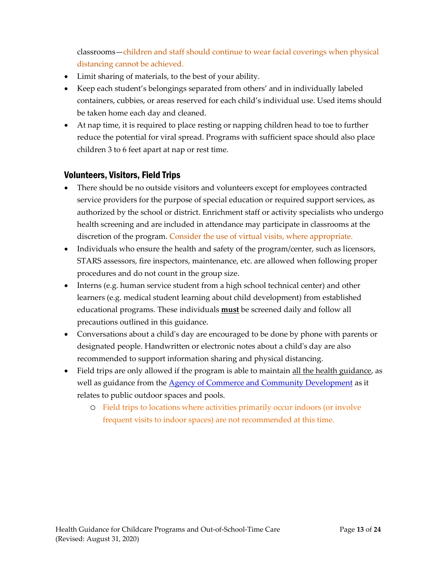classrooms—children and staff should continue to wear facial coverings when physical distancing cannot be achieved.

- Limit sharing of materials, to the best of your ability.
- Keep each student's belongings separated from others' and in individually labeled containers, cubbies, or areas reserved for each child's individual use. Used items should be taken home each day and cleaned.
- <span id="page-12-0"></span>• At nap time, it is required to place resting or napping children head to toe to further reduce the potential for viral spread. Programs with sufficient space should also place children 3 to 6 feet apart at nap or rest time.

## Volunteers, Visitors, Field Trips

- There should be no outside visitors and volunteers except for employees contracted service providers for the purpose of special education or required support services, as authorized by the school or district. Enrichment staff or activity specialists who undergo health screening and are included in attendance may participate in classrooms at the discretion of the program. Consider the use of virtual visits, where appropriate.
- Individuals who ensure the health and safety of the program/center, such as licensors, STARS assessors, fire inspectors, maintenance, etc. are allowed when following proper procedures and do not count in the group size.
- Interns (e.g. human service student from a high school technical center) and other learners (e.g. medical student learning about child development) from established educational programs. These individuals **must** be screened daily and follow all precautions outlined in this guidance.
- Conversations about a child's day are encouraged to be done by phone with parents or designated people. Handwritten or electronic notes about a child's day are also recommended to support information sharing and physical distancing.
- <span id="page-12-1"></span>• Field trips are only allowed if the program is able to maintain <u>all the health guidance</u>, as well as guidance from the [Agency of Commerce and Community Development](https://accd.vermont.gov/news/update-new-work-safe-additions-be-smart-stay-safe-order) as it relates to public outdoor spaces and pools.
	- o Field trips to locations where activities primarily occur indoors (or involve frequent visits to indoor spaces) are not recommended at this time.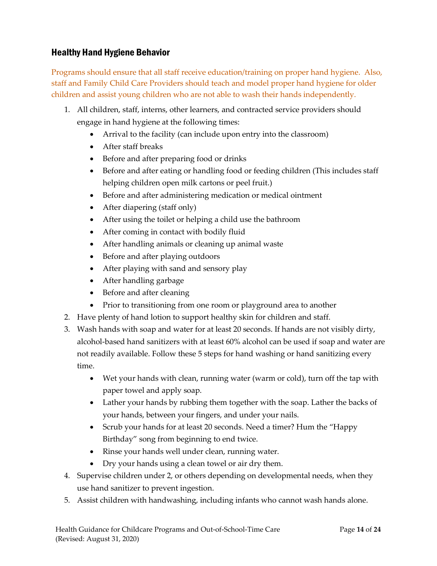## Healthy Hand Hygiene Behavior

Programs should ensure that all staff receive education/training on proper hand hygiene. Also, staff and Family Child Care Providers should teach and model proper hand hygiene for older children and assist young children who are not able to wash their hands independently.

- 1. All children, staff, interns, other learners, and contracted service providers should engage in hand hygiene at the following times:
	- Arrival to the facility (can include upon entry into the classroom)
	- After staff breaks
	- Before and after preparing food or drinks
	- Before and after eating or handling food or feeding children (This includes staff helping children open milk cartons or peel fruit.)
	- Before and after administering medication or medical ointment
	- After diapering (staff only)
	- After using the toilet or helping a child use the bathroom
	- After coming in contact with bodily fluid
	- After handling animals or cleaning up animal waste
	- Before and after playing outdoors
	- After playing with sand and sensory play
	- After handling garbage
	- Before and after cleaning
	- Prior to transitioning from one room or playground area to another
- 2. Have plenty of hand lotion to support healthy skin for children and staff.
- 3. Wash hands with soap and water for at least 20 seconds. If hands are not visibly dirty, alcohol-based hand sanitizers with at least 60% alcohol can be used if soap and water are not readily available. Follow these 5 steps for hand washing or hand sanitizing every time.
	- Wet your hands with clean, running water (warm or cold), turn off the tap with paper towel and apply soap.
	- Lather your hands by rubbing them together with the soap. Lather the backs of your hands, between your fingers, and under your nails.
	- Scrub your hands for at least 20 seconds. Need a timer? Hum the "Happy Birthday" song from beginning to end twice.
	- Rinse your hands well under clean, running water.
	- Dry your hands using a clean towel or air dry them.
- 4. Supervise children under 2, or others depending on developmental needs, when they use hand sanitizer to prevent ingestion.
- 5. Assist children with handwashing, including infants who cannot wash hands alone.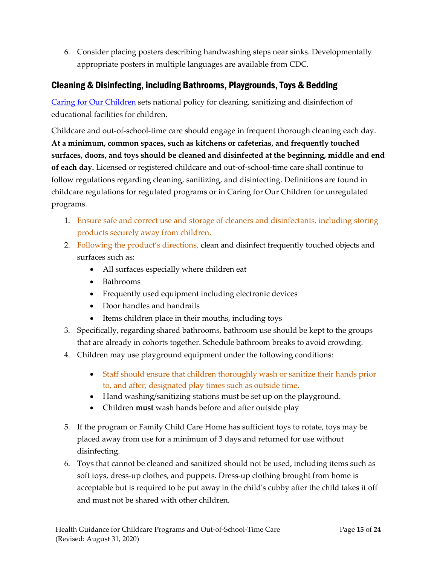6. Consider placing posters describing handwashing steps near sinks. [Developmentally](https://www.cdc.gov/handwashing/posters.html)  [appropriate posters](https://www.cdc.gov/handwashing/posters.html) in multiple languages are available from CDC.

# <span id="page-14-0"></span>Cleaning & Disinfecting, including Bathrooms, Playgrounds, Toys & Bedding

[Caring for Our Children](https://nrckids.org/CFOC/Database/3.3) sets national policy for cleaning, sanitizing and disinfection of educational facilities for children.

Childcare and out-of-school-time care should engage in frequent thorough cleaning each day. **At a minimum, common spaces, such as kitchens or cafeterias, and frequently touched surfaces, doors, and toys should be cleaned and disinfected at the beginning, middle and end of each day.** Licensed or registered childcare and out-of-school-time care shall continue to follow regulations regarding cleaning, sanitizing, and disinfecting. Definitions are found in childcare regulations for regulated programs or in Caring for Our Children for unregulated programs.

- 1. Ensure safe and correct use and storage of cleaners and disinfectants, including storing products securely away from children.
- 2. Following the product's directions, clean and disinfect frequently touched objects and surfaces such as:
	- All surfaces especially where children eat
	- Bathrooms
	- Frequently used equipment including electronic devices
	- Door handles and handrails
	- Items children place in their mouths, including toys
- 3. Specifically, regarding shared bathrooms, bathroom use should be kept to the groups that are already in cohorts together. Schedule bathroom breaks to avoid crowding.
- 4. Children may use playground equipment under the following conditions:
	- Staff should ensure that children thoroughly wash or sanitize their hands prior to, and after, designated play times such as outside time.
	- Hand washing/sanitizing stations must be set up on the playground.
	- Children **must** wash hands before and after outside play
- 5. If the program or Family Child Care Home has sufficient toys to rotate, toys may be placed away from use for a minimum of 3 days and returned for use without disinfecting.
- 6. Toys that cannot be cleaned and sanitized should not be used, including items such as soft toys, dress-up clothes, and puppets. Dress-up clothing brought from home is acceptable but is required to be put away in the child's cubby after the child takes it off and must not be shared with other children.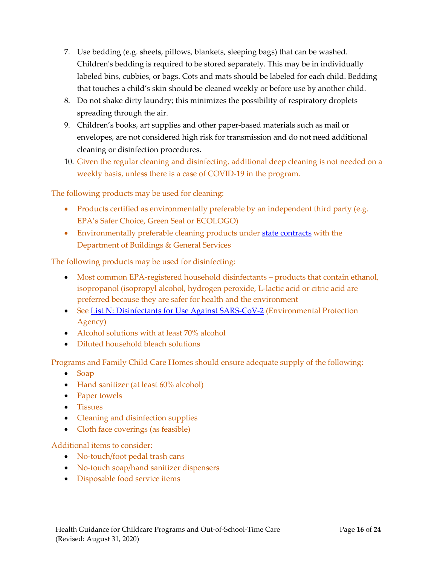- 7. Use bedding (e.g. sheets, pillows, blankets, sleeping bags) that can be washed. Children's bedding is required to be stored separately. This may be in individually labeled bins, cubbies, or bags. Cots and mats should be labeled for each child. Bedding that touches a child's skin should be cleaned weekly or before use by another child.
- 8. Do not shake dirty laundry; this minimizes the possibility of respiratory droplets spreading through the air.
- 9. Children's books, art supplies and other paper-based materials such as mail or envelopes, are not considered high risk for transmission and do not need additional cleaning or disinfection procedures.
- 10. Given the regular cleaning and disinfecting, additional deep cleaning is not needed on a weekly basis, unless there is a case of COVID-19 in the program.

The following products may be used for cleaning:

- Products certified as environmentally preferable by an independent third party (e.g. EPA's Safer Choice, Green Seal or ECOLOGO)
- Environmentally preferable cleaning products under [state contracts](https://bgs.vermont.gov/purchasing-contracting/contract-info/current#Janitorial) with the Department of Buildings & General Services

The following products may be used for disinfecting:

- Most common EPA-registered household disinfectants products that contain ethanol, isopropanol (isopropyl alcohol, hydrogen peroxide, L-lactic acid or citric acid are preferred because they are safer for health and the environment
- See [List N: Disinfectants for Use Against SARS-CoV-2](https://www.epa.gov/pesticide-registration/list-n-disinfectants-use-against-sars-cov-2) (Environmental Protection Agency)
- Alcohol solutions with at least 70% alcohol
- Diluted household bleach solutions

Programs and Family Child Care Homes should ensure adequate supply of the following:

- Soap
- Hand sanitizer (at least 60% alcohol)
- Paper towels
- Tissues
- Cleaning and disinfection supplies
- Cloth face coverings (as feasible)

Additional items to consider:

- No-touch/foot pedal trash cans
- No-touch soap/hand sanitizer dispensers
- <span id="page-15-0"></span>• Disposable food service items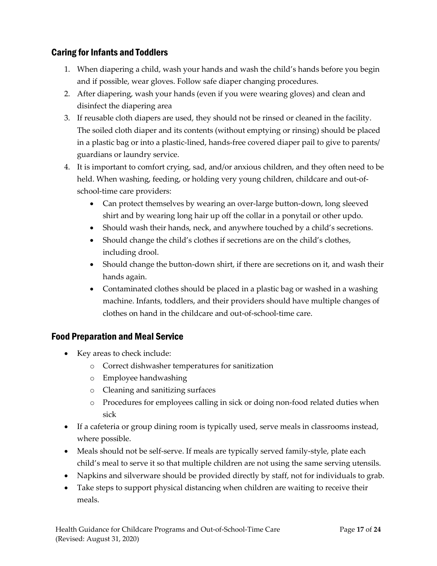# Caring for Infants and Toddlers

- 1. When diapering a child, wash your hands and wash the child's hands before you begin and if possible, wear gloves. Follow safe diaper changing procedures.
- 2. After diapering, wash your hands (even if you were wearing gloves) and clean and disinfect the diapering area
- 3. If reusable cloth diapers are used, they should not be rinsed or cleaned in the facility. The soiled cloth diaper and its contents (without emptying or rinsing) should be placed in a plastic bag or into a plastic-lined, hands-free covered diaper pail to give to parents/ guardians or laundry service.
- 4. It is important to comfort crying, sad, and/or anxious children, and they often need to be held. When washing, feeding, or holding very young children, childcare and out-ofschool-time care providers:
	- Can protect themselves by wearing an over-large button-down, long sleeved shirt and by wearing long hair up off the collar in a ponytail or other updo.
	- Should wash their hands, neck, and anywhere touched by a child's secretions.
	- Should change the child's clothes if secretions are on the child's clothes, including drool.
	- Should change the button-down shirt, if there are secretions on it, and wash their hands again.
	- Contaminated clothes should be placed in a plastic bag or washed in a washing machine. Infants, toddlers, and their providers should have multiple changes of clothes on hand in the childcare and out-of-school-time care.

## <span id="page-16-0"></span>Food Preparation and Meal Service

- Key areas to check include:
	- o Correct dishwasher temperatures for sanitization
	- o Employee handwashing
	- o Cleaning and sanitizing surfaces
	- o Procedures for employees calling in sick or doing non-food related duties when sick
- If a cafeteria or group dining room is typically used, serve meals in classrooms instead, where possible.
- Meals should not be self-serve. If meals are typically served family-style, plate each child's meal to serve it so that multiple children are not using the same serving utensils.
- Napkins and silverware should be provided directly by staff, not for individuals to grab.
- Take steps to support physical distancing when children are waiting to receive their meals.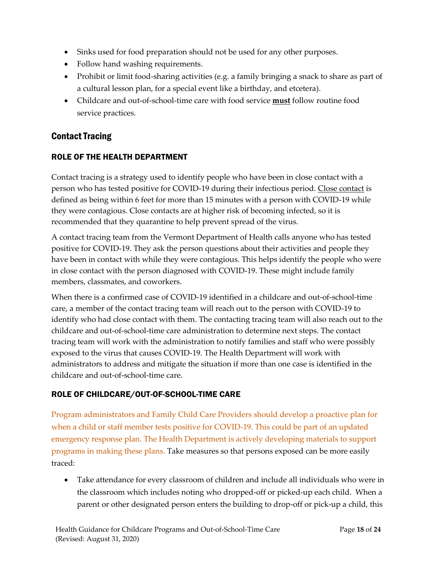- Sinks used for food preparation should not be used for any other purposes.
- Follow hand washing requirements.
- Prohibit or limit food-sharing activities (e.g. a family bringing a snack to share as part of a cultural lesson plan, for a special event like a birthday, and etcetera).
- Childcare and out-of-school-time care with food service **must** follow routine food service practices.

## <span id="page-17-0"></span>Contact Tracing

### ROLE OF THE HEALTH DEPARTMENT

Contact tracing is a strategy used to identify people who have been in close contact with a person who has tested positive for COVID-19 during their infectious period. [Close contact](https://www.healthvermont.gov/response/coronavirus-covid-19/about-coronavirus-disease-covid-19) is defined as being within 6 feet for more than 15 minutes with a person with COVID-19 while they were contagious. Close contacts are at higher risk of becoming infected, so it is recommended that they quarantine to help prevent spread of the virus.

A contact tracing team from the Vermont Department of Health calls anyone who has tested positive for COVID-19. They ask the person questions about their activities and people they have been in contact with while they were contagious. This helps identify the people who were in close contact with the person diagnosed with COVID-19. These might include family members, classmates, and coworkers.

When there is a confirmed case of COVID-19 identified in a childcare and out-of-school-time care, a member of the contact tracing team will reach out to the person with COVID-19 to identify who had close contact with them. The contacting tracing team will also reach out to the childcare and out-of-school-time care administration to determine next steps. The contact tracing team will work with the administration to notify families and staff who were possibly exposed to the virus that causes COVID-19. The Health Department will work with administrators to address and mitigate the situation if more than one case is identified in the childcare and out-of-school-time care.

### ROLE OF CHILDCARE/OUT-OF-SCHOOL-TIME CARE

Program administrators and Family Child Care Providers should develop a proactive plan for when a child or staff member tests positive for COVID-19. This could be part of an updated emergency response plan. The Health Department is actively developing materials to support programs in making these plans. Take measures so that persons exposed can be more easily traced:

• Take attendance for every classroom of children and include all individuals who were in the classroom which includes noting who dropped-off or picked-up each child. When a parent or other designated person enters the building to drop-off or pick-up a child, this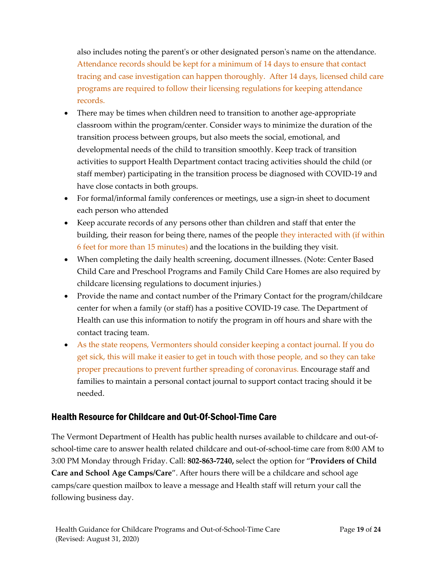also includes noting the parent's or other designated person's name on the attendance. Attendance records should be kept for a minimum of 14 days to ensure that contact tracing and case investigation can happen thoroughly. After 14 days, licensed child care programs are required to follow their licensing regulations for keeping attendance records.

- There may be times when children need to transition to another age-appropriate classroom within the program/center. Consider ways to minimize the duration of the transition process between groups, but also meets the social, emotional, and developmental needs of the child to transition smoothly. Keep track of transition activities to support Health Department contact tracing activities should the child (or staff member) participating in the transition process be diagnosed with COVID-19 and have close contacts in both groups.
- For formal/informal family conferences or meetings, use a sign-in sheet to document each person who attended
- Keep accurate records of any persons other than children and staff that enter the building, their reason for being there, names of the people they interacted with (if within 6 feet for more than 15 minutes) and the locations in the building they visit.
- When completing the daily health screening, document illnesses. (Note: Center Based Child Care and Preschool Programs and Family Child Care Homes are also required by childcare licensing regulations to document injuries.)
- Provide the name and contact number of the Primary Contact for the program/childcare center for when a family (or staff) has a positive COVID-19 case. The Department of Health can use this information to notify the program in off hours and share with the contact tracing team.
- As the state reopens, Vermonters should consider keeping a contact journal. If you do get sick, this will make it easier to get in touch with those people, and so they can take proper precautions to prevent further spreading of coronavirus. Encourage staff and families to maintain a personal contact journal to support contact tracing should it be needed.

## <span id="page-18-0"></span>Health Resource for Childcare and Out-Of-School-Time Care

<span id="page-18-1"></span>The Vermont Department of Health has public health nurses available to childcare and out-ofschool-time care to answer health related childcare and out-of-school-time care from 8:00 AM to 3:00 PM Monday through Friday. Call: **802-863-7240,** select the option for "**Providers of Child Care and School Age Camps/Care**". After hours there will be a childcare and school age camps/care question mailbox to leave a message and Health staff will return your call the following business day.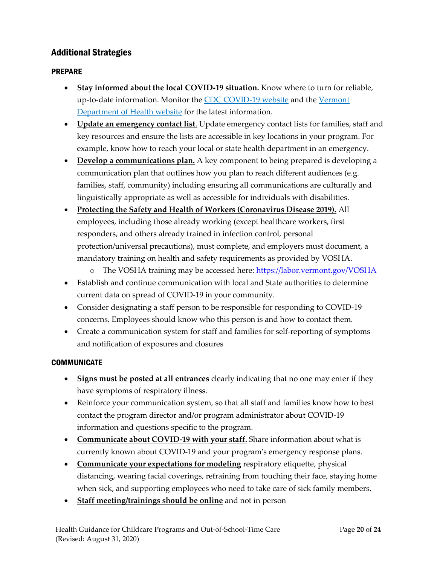# Additional Strategies

## PREPARE

- **Stay informed about the local COVID-19 situation.** Know where to turn for reliable, up-to-date information. Monitor the [CDC COVID-19 website](https://www.cdc.gov/coronavirus/2019-ncov/index.html) and the [Vermont](https://www.healthvermont.gov/response/infectious-disease/2019-novel-coronavirus)  [Department of Health website](https://www.healthvermont.gov/response/infectious-disease/2019-novel-coronavirus) for the latest information.
- **Update an emergency contact list**. Update emergency contact lists for families, staff and key resources and ensure the lists are accessible in key locations in your program. For example, know how to reach your local or state health department in an emergency.
- **Develop a communications plan.** A key component to being prepared is developing a communication plan that outlines how you plan to reach different audiences (e.g. families, staff, community) including ensuring all communications are culturally and linguistically appropriate as well as accessible for individuals with disabilities.
- **Protecting the Safety and Health of Workers (Coronavirus Disease 2019).** All employees, including those already working (except healthcare workers, first responders, and others already trained in infection control, personal protection/universal precautions), must complete, and employers must document, a mandatory training on health and safety requirements as provided by VOSHA.
	- o The VOSHA training may be accessed here: <https://labor.vermont.gov/VOSHA>
- Establish and continue communication with local and State authorities to determine current data on spread of COVID-19 in your community.
- Consider designating a staff person to be responsible for responding to COVID-19 concerns. Employees should know who this person is and how to contact them.
- Create a communication system for staff and families for self-reporting of symptoms and notification of exposures and closures

#### **COMMUNICATE**

- **Signs must be posted at all entrances** clearly indicating that no one may enter if they have symptoms of respiratory illness.
- Reinforce your communication system, so that all staff and families know how to best contact the program director and/or program administrator about COVID-19 information and questions specific to the program.
- **Communicate about COVID-19 with your staff.** Share information about what is currently known about COVID-19 and your program's emergency response plans.
- **Communicate your expectations for modeling** respiratory etiquette, physical distancing, wearing facial coverings, refraining from touching their face, staying home when sick, and supporting employees who need to take care of sick family members.
- **Staff meeting/trainings should be online** and not in person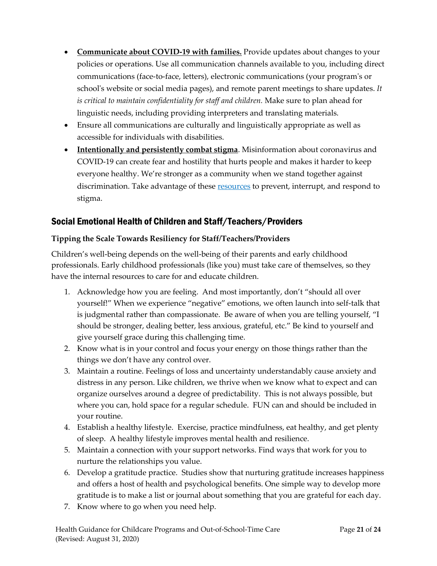- **Communicate about COVID-19 with families.** Provide updates about changes to your policies or operations. Use all communication channels available to you, including direct communications (face-to-face, letters), electronic communications (your program's or school's website or social media pages), and remote parent meetings to share updates. *It is critical to maintain confidentiality for staff and children.* Make sure to plan ahead for linguistic needs, including providing interpreters and translating materials.
- Ensure all communications are culturally and linguistically appropriate as well as accessible for individuals with disabilities.
- **Intentionally and persistently combat stigma**. Misinformation about coronavirus and COVID-19 can create fear and hostility that hurts people and makes it harder to keep everyone healthy. We're stronger as a community when we stand together against discrimination. Take advantage of these [resources](https://www.cdc.gov/coronavirus/2019-ncov/about/related-stigma.html) to prevent, interrupt, and respond to stigma.

# <span id="page-20-0"></span>Social Emotional Health of Children and Staff/Teachers/Providers

## **Tipping the Scale Towards Resiliency for Staff/Teachers/Providers**

Children's well-being depends on the well-being of their parents and early childhood professionals. Early childhood professionals (like you) must take care of themselves, so they have the internal resources to care for and educate children.

- 1. Acknowledge how you are feeling. And most importantly, don't "should all over yourself!" When we experience "negative" emotions, we often launch into self-talk that is judgmental rather than compassionate. Be aware of when you are telling yourself, "I should be stronger, dealing better, less anxious, grateful, etc." Be kind to yourself and give yourself grace during this challenging time.
- 2. Know what is in your control and focus your energy on those things rather than the things we don't have any control over.
- 3. Maintain a routine. Feelings of loss and uncertainty understandably cause anxiety and distress in any person. Like children, we thrive when we know what to expect and can organize ourselves around a degree of predictability. This is not always possible, but where you can, hold space for a regular schedule. FUN can and should be included in your routine.
- 4. Establish a healthy lifestyle. Exercise, practice mindfulness, eat healthy, and get plenty of sleep. A healthy lifestyle improves mental health and resilience.
- 5. Maintain a connection with your support networks. Find ways that work for you to nurture the relationships you value.
- 6. Develop a gratitude practice. Studies show that nurturing gratitude increases happiness and offers a host of health and psychological benefits. One simple way to develop more gratitude is to make a list or journal about something that you are grateful for each day.
- 7. Know where to go when you need help.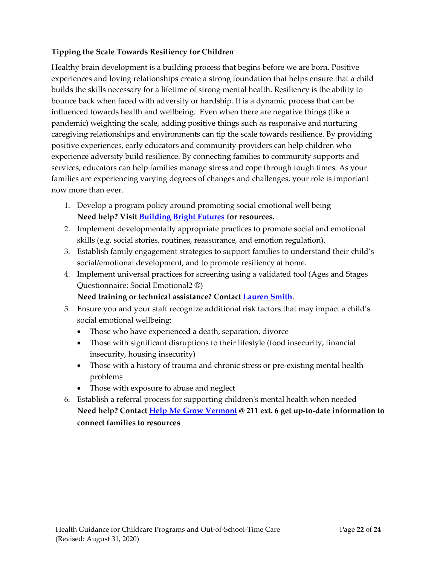## **Tipping the Scale Towards Resiliency for Children**

Healthy brain development is a building process that begins before we are born. Positive experiences and loving relationships create a strong foundation that helps ensure that a child builds the skills necessary for a lifetime of strong mental health. Resiliency is the ability to bounce back when faced with adversity or hardship. It is a dynamic process that can be influenced towards health and wellbeing. Even when there are negative things (like a pandemic) weighting the scale, adding positive things such as responsive and nurturing caregiving relationships and environments can tip the scale towards resilience. By providing positive experiences, early educators and community providers can help children who experience adversity build resilience. By connecting families to community supports and services, educators can help families manage stress and cope through tough times. As your families are experiencing varying degrees of changes and challenges, your role is important now more than ever.

- 1. Develop a program policy around promoting social emotional well being **Need help? Visit [Building Bright Futures](https://buildingbrightfutures.org/coronavirus/)) for resources.**
- 2. Implement developmentally appropriate practices to promote social and emotional skills (e.g. social stories, routines, reassurance, and emotion regulation).
- 3. Establish family engagement strategies to support families to understand their child's social/emotional development, and to promote resiliency at home.
- 4. Implement universal practices for screening using a validated tool (Ages and Stages Questionnaire: Social Emotional2 ®)

### **Need training or technical assistance? Contac[t Lauren Smith.](mailto:lauren.smith@vermont.gov)**

- 5. Ensure you and your staff recognize additional risk factors that may impact a child's social emotional wellbeing:
	- Those who have experienced a death, separation, divorce
	- Those with significant disruptions to their lifestyle (food insecurity, financial insecurity, housing insecurity)
	- Those with a history of trauma and chronic stress or pre-existing mental health problems
	- Those with exposure to abuse and neglect
- 6. Establish a referral process for supporting children's mental health when needed **Need help? Contact [Help Me Grow Vermont](https://helpmegrowvt.org/) @ 211 ext. 6 get up-to-date information to connect families to resources**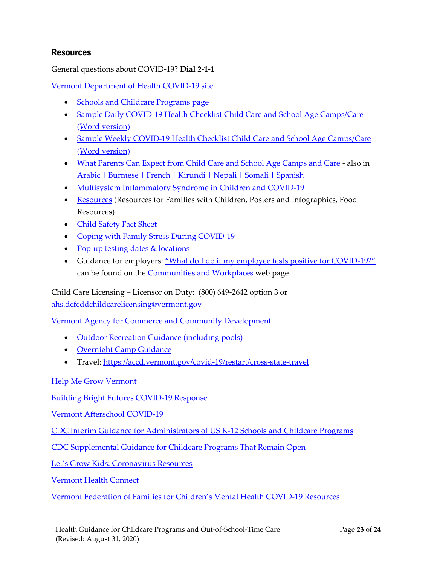## <span id="page-22-0"></span>**Resources**

General questions about COVID-19? **Dial 2-1-1**

Vermont [Department of Health COVID-19 site](https://www.healthvermont.gov/response/infectious-disease/2019-novel-coronavirus)

- [Schools and Childcare Programs page](https://www.healthvermont.gov/response/coronavirus-covid-19/schools-and-child-care-programs)
- [Sample Daily COVID-19 Health Checklist Child Care and School Age Camps/Care](https://www.healthvermont.gov/sites/default/files/documents/pdf/COVID19-Childcare-Camp-Daily-Health-Checklist-Template.pdf) [\(Word version\)](https://www.healthvermont.gov/sites/default/files/documents/docx/COVID19-Childcare-Camp-Daily-Health-Checklist-Template.docx)
- [Sample Weekly COVID-19 Health Checklist Child Care and School Age Camps/Care](https://www.healthvermont.gov/sites/default/files/documents/pdf/COVID19-Childcare-Camp-Weekly-Health-Checklist-Template.pdf) [\(Word version\)](https://www.healthvermont.gov/sites/default/files/documents/docx/COVID19-Childcare-Camp-Weekly-Health-Checklist-Template.docx)
- [What Parents Can Expect from Child Care and School Age Camps and Care](https://www.healthvermont.gov/sites/default/files/documents/pdf/COVID19-Resources4Families-Childcare-Summer-Programs.pdf) also i[n](https://www.healthvermont.gov/sites/default/files/documents/pdf/COVID-resources-childcare-and-summer%20programs--info%20for%20families-Arabic.pdf) [Arabic |](https://www.healthvermont.gov/sites/default/files/documents/pdf/COVID-resources-childcare-and-summer%20programs--info%20for%20families-Arabic.pdf) [Burmese |](https://www.healthvermont.gov/sites/default/files/documents/pdf/COVID-resources-childcare-and-summer%20programs--info%20for%20families-Burmese.pdf) [French |](https://www.healthvermont.gov/sites/default/files/documents/pdf/COVID-resources-childcare-and-summer%20programs--info%20for%20families-French.pdf) [Kirundi |](https://www.healthvermont.gov/sites/default/files/documents/pdf/COVID-resources-childcare-and-summer%20programs--info%20for%20families-Kirundi.pdf) [Nepali |](https://www.healthvermont.gov/sites/default/files/documents/pdf/COVID-resources-childcare-and-summer%20programs--info%20for%20families-Nepali.pdf) [Somali |](https://www.healthvermont.gov/sites/default/files/documents/pdf/COVID-resources-childcare-and-summer%20programs--info%20for%20families-Somali.pdf) [Spanish](https://www.healthvermont.gov/sites/default/files/documents/pdf/COVID-resources-childcare-and-summer%20programs--info%20for%20families-Spanish.pdf)
- [Multisystem Inflammatory Syndrome in Children and COVID-19](https://www.healthvermont.gov/sites/default/files/documents/pdf/MIS-C-Fact-Sheet.pdf)
- [Resources](https://www.healthvermont.gov/response/coronavirus-covid-19/resources) (Resources for Families with Children, Posters and Infographics, Food Resources)
- [Child Safety Fact Sheet](https://www.healthvermont.gov/sites/default/files/documents/pdf/COVID19-Child-Safety-Fact-Sheet.pdf)
- [Coping with Family Stress During COVID-19](https://www.healthvermont.gov/sites/default/files/documents/pdf/COVID19-Family-Coping-Fact-Sheet.pdf)
- [Pop-up testing dates & locations](https://www.healthvermont.gov/response/coronavirus-covid-19/resources)
- Guidance for employers: ["What do I do if my employee tests positive for COVID](https://www.healthvermont.gov/sites/default/files/documents/pdf/COVID-19-What-employers-should-do-if-their-employee-tests-positive.pdf)-19?" can be found on the [Communities and Workplaces](https://www.healthvermont.gov/response/coronavirus-covid-19/communities-and-workplaces) web page

Child Care Licensing – Licensor on Duty: (800) 649-2642 option 3 or [ahs.dcfcddchildcarelicensing@vermont.gov](mailto:ahs.dcfcddchildcarelicensing@vermont.gov)

[Vermont Agency for Commerce and Community Development](https://accd.vermont.gov/covid-19/business/stay-home-stay-safe-sector-specific-guidance)

- [Outdoor Recreation Guidance \(including pools\)](https://accd.vermont.gov/covid-19/business/stay-home-stay-safe-sector-specific-guidance#outdoor-recreation)
- [Overnight Camp Guidance](https://accd.vermont.gov/covid-19/business/stay-home-stay-safe-sector-specific-guidance#summer-camps)
- Travel:<https://accd.vermont.gov/covid-19/restart/cross-state-travel>

#### [Help Me Grow Vermont](https://helpmegrowvt.org/)

[Building Bright Futures COVID-19 Response](https://buildingbrightfutures.org/covid-19/)

[Vermont Afterschool COVID-19](http://www.vermontafterschool.org/coronavirus/)

[CDC Interim Guidance for Administrators of US K-12 Schools and Childcare](https://www.cdc.gov/coronavirus/2019-ncov/community/schools-childcare/guidance-for-schools.html) Programs

[CDC Supplemental Guidance for Childcare](https://www.cdc.gov/coronavirus/2019-ncov/community/schools-childcare/guidance-for-childcare.html) Programs That Remain Open

[Let's Grow Kids: Coronavirus Resources](https://www.letsgrowkids.org/coronavirus)

[Vermont Health Connect](https://portal.healthconnect.vermont.gov/VTHBELand/welcome.action)

[Vermont Federation of Families for Children's Mental Health COVID](https://www.vffcmh.org/coordinated-services/covid-19-resources/)-19 Resources